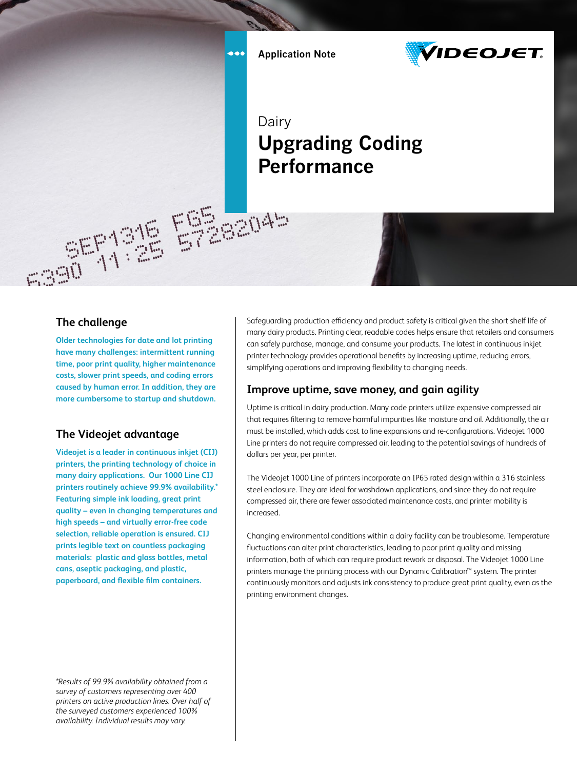$\bullet \bullet \bullet$ 

ESSENAS



Dairy **Upgrading Coding Performance**

 $-55135$ 

#### **The challenge**

**Older technologies for date and lot printing have many challenges: intermittent running time, poor print quality, higher maintenance costs, slower print speeds, and coding errors caused by human error. In addition, they are more cumbersome to startup and shutdown.** 

### **The Videojet advantage**

**Videojet is a leader in continuous inkjet (CIJ) printers, the printing technology of choice in many dairy applications. Our 1000 Line CIJ printers routinely achieve 99.9% availability.\* Featuring simple ink loading, great print quality – even in changing temperatures and high speeds – and virtually error-free code selection, reliable operation is ensured. CIJ prints legible text on countless packaging materials: plastic and glass bottles, metal cans, aseptic packaging, and plastic, paperboard, and flexible film containers.** 

*\*Results of 99.9% availability obtained from a survey of customers representing over 400 printers on active production lines. Over half of the surveyed customers experienced 100% availability. Individual results may vary.*

Safeguarding production efficiency and product safety is critical given the short shelf life of many dairy products. Printing clear, readable codes helps ensure that retailers and consumers can safely purchase, manage, and consume your products. The latest in continuous inkjet printer technology provides operational benefits by increasing uptime, reducing errors, simplifying operations and improving flexibility to changing needs.

### **Improve uptime, save money, and gain agility**

Uptime is critical in dairy production. Many code printers utilize expensive compressed air that requires filtering to remove harmful impurities like moisture and oil. Additionally, the air must be installed, which adds cost to line expansions and re-configurations. Videojet 1000 Line printers do not require compressed air, leading to the potential savings of hundreds of dollars per year, per printer.

The Videojet 1000 Line of printers incorporate an IP65 rated design within a 316 stainless steel enclosure. They are ideal for washdown applications, and since they do not require compressed air, there are fewer associated maintenance costs, and printer mobility is increased.

Changing environmental conditions within a dairy facility can be troublesome. Temperature fluctuations can alter print characteristics, leading to poor print quality and missing information, both of which can require product rework or disposal. The Videojet 1000 Line printers manage the printing process with our Dynamic Calibration™ system. The printer continuously monitors and adjusts ink consistency to produce great print quality, even as the printing environment changes.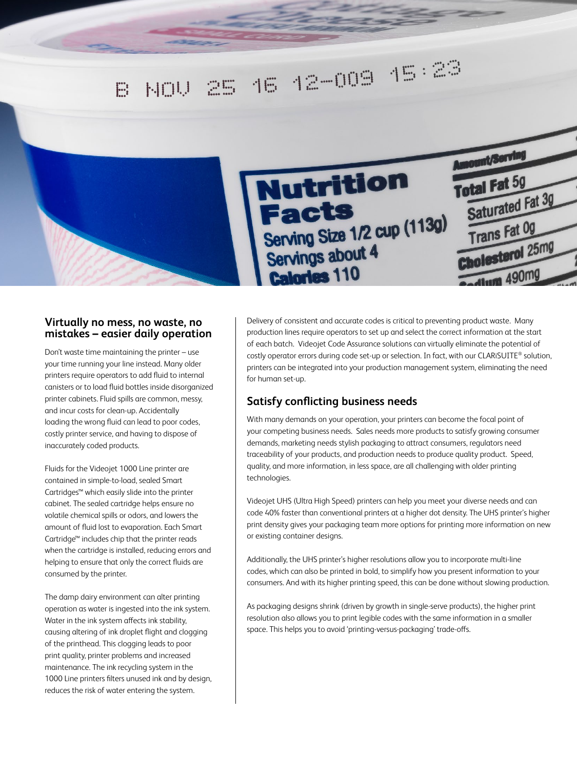

#### **Virtually no mess, no waste, no mistakes – easier daily operation**

Don't waste time maintaining the printer – use your time running your line instead. Many older printers require operators to add fluid to internal canisters or to load fluid bottles inside disorganized printer cabinets. Fluid spills are common, messy, and incur costs for clean-up. Accidentally loading the wrong fluid can lead to poor codes, costly printer service, and having to dispose of inaccurately coded products.

Fluids for the Videojet 1000 Line printer are contained in simple-to-load, sealed Smart Cartridges™ which easily slide into the printer cabinet. The sealed cartridge helps ensure no volatile chemical spills or odors, and lowers the amount of fluid lost to evaporation. Each Smart Cartridge™ includes chip that the printer reads when the cartridge is installed, reducing errors and helping to ensure that only the correct fluids are consumed by the printer.

The damp dairy environment can alter printing operation as water is ingested into the ink system. Water in the ink system affects ink stability, causing altering of ink droplet flight and clogging of the printhead. This clogging leads to poor print quality, printer problems and increased maintenance. The ink recycling system in the 1000 Line printers filters unused ink and by design, reduces the risk of water entering the system.

Delivery of consistent and accurate codes is critical to preventing product waste. Many production lines require operators to set up and select the correct information at the start of each batch. Videojet Code Assurance solutions can virtually eliminate the potential of costly operator errors during code set-up or selection. In fact, with our CLARiSUITE® solution, printers can be integrated into your production management system, eliminating the need for human set-up.

## **Satisfy conflicting business needs**

With many demands on your operation, your printers can become the focal point of your competing business needs. Sales needs more products to satisfy growing consumer demands, marketing needs stylish packaging to attract consumers, regulators need traceability of your products, and production needs to produce quality product. Speed, quality, and more information, in less space, are all challenging with older printing technologies.

Videojet UHS (Ultra High Speed) printers can help you meet your diverse needs and can code 40% faster than conventional printers at a higher dot density. The UHS printer's higher print density gives your packaging team more options for printing more information on new or existing container designs.

Additionally, the UHS printer's higher resolutions allow you to incorporate multi-line codes, which can also be printed in bold, to simplify how you present information to your consumers. And with its higher printing speed, this can be done without slowing production.

As packaging designs shrink (driven by growth in single-serve products), the higher print resolution also allows you to print legible codes with the same information in a smaller space. This helps you to avoid 'printing-versus-packaging' trade-offs.